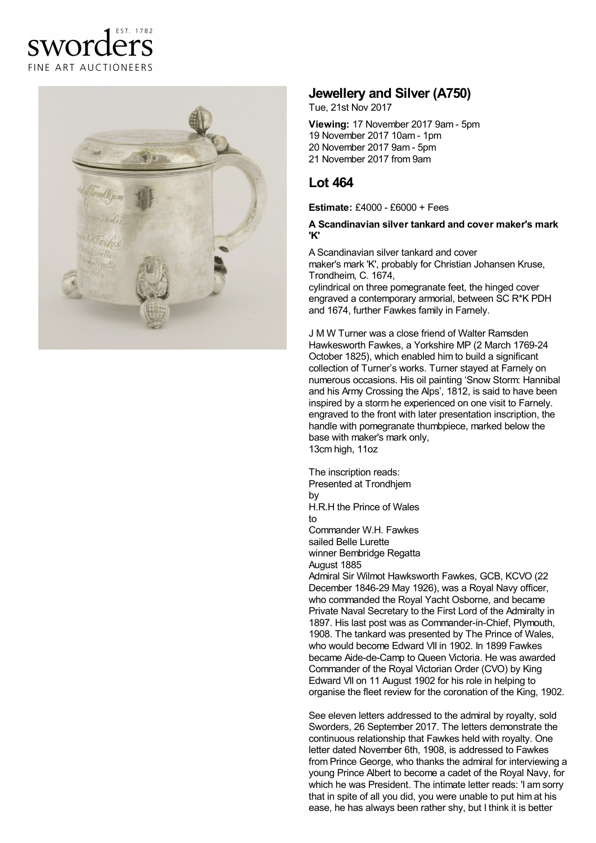# sworders FINE ART AUCTIONEERS



## **Jewellery and Silver (A750)**

Tue, 21st Nov 2017

**Viewing:** 17 November 2017 9am - 5pm November 2017 10am - 1pm November 2017 9am -5pm November 2017 from 9am

## **Lot 464**

**Estimate:** £4000 - £6000 + Fees

#### **A Scandinavian silver tankard and cover maker's mark 'K'**

A Scandinavian silver tankard and cover maker's mark 'K', probably for Christian Johansen Kruse, Trondheim, C. 1674,

cylindrical on three pomegranate feet, the hinged cover engraved a contemporary armorial, between SC R\*K PDH and 1674, further Fawkes family in Farnely.

J M W Turner was a close friend of Walter Ramsden Hawkesworth Fawkes, a Yorkshire MP (2 March 1769-24 October 1825), which enabled him to build a significant collection of Turner's works. Turner stayed at Farnely on numerous occasions. His oil painting 'Snow Storm: Hannibal and his Army Crossing the Alps', 1812, is said to have been inspired by a storm he experienced on one visit to Farnely. engraved to the front with later presentation inscription, the handle with pomegranate thumbpiece, marked below the base with maker's mark only, 13cm high, 11oz

The inscription reads: Presented at Trondhjem by H.R.H the Prince of Wales to Commander W.H. Fawkes sailed Belle Lurette winner Bembridge Regatta August 1885 Admiral Sir Wilmot Hawksworth Fawkes, GCB, KCVO (22 December 1846-29 May 1926), was a Royal Navy officer, who commanded the Royal Yacht Osborne, and became Private Naval Secretary to the First Lord of the Admiralty in

1897. His last post was as Commander-in-Chief, Plymouth, 1908. The tankard was presented by The Prince of Wales, who would become Edward VII in 1902. In 1899 Fawkes became Aide-de-Camp to Queen Victoria. He was awarded Commander of the Royal Victorian Order (CVO) by King Edward VII on 11 August 1902 for his role in helping to organise the fleet review for the coronation of the King, 1902.

See eleven letters addressed to the admiral by royalty, sold Sworders, 26 September 2017. The letters demonstrate the continuous relationship that Fawkes held with royalty. One letter dated November 6th, 1908, is addressed to Fawkes from Prince George, who thanks the admiral for interviewing a young Prince Albert to become a cadet of the Royal Navy, for which he was President. The intimate letter reads: 'I am sorry that in spite of all you did, you were unable to put him at his ease, he has always been rather shy, but I think it is better